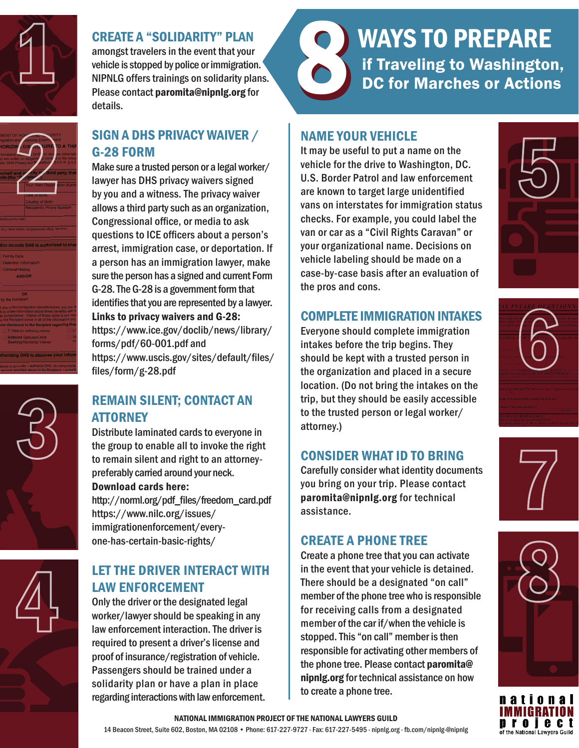

# CREATE A "SOLIDARITY" PLAN

amongst travelers in the event that your vehicle is stopped by police or immigration. NIPNLG offers trainings on solidarity plans. Please contact paromita@nipnlg.org for details.

# SIGN A DHS PRIVACY WAIVER / G-28 FORM

Make sure a trusted person or a legal worker/ lawyer has DHS privacy waivers signed by you and a witness. The privacy waiver allows a third party such as an organization, Congressional office, or media to ask questions to ICE officers about a person's arrest, immigration case, or deportation. If a person has an immigration lawyer, make sure the person has a signed and current Form G-28. The G-28 is a government form that identifies that you are represented by a lawyer. Links to privacy waivers and G-28: https://www.ice.gov/doclib/news/library/ forms/pdf/60-001.pdf and https://www.uscis.gov/sites/default/files/ files/form/g-28.pdf

# REMAIN SILENT; CONTACT AN **ATTORNEY**

Distribute laminated cards to everyone in the group to enable all to invoke the right to remain silent and right to an attorneypreferably carried around your neck.

### Download cards here:

http://norml.org/pdf\_files/freedom\_card.pdf https://www.nilc.org/issues/ immigrationenforcement/everyone-has-certain-basic-rights/

# LET THE DRIVER INTERACT WITH LAW ENFORCEMENT

Only the driver or the designated legal worker/lawyer should be speaking in any law enforcement interaction. The driver is required to present a driver's license and proof of insurance/registration of vehicle. Passengers should be trained under a solidarity plan or have a plan in place regarding interactions with law enforcement.

# WAYS TO PREPARE<br>
If Traveling to Washington,<br>
DC for Marches or Actions DC for Marches or Actions WAYS TO PREPARE

# NAME YOUR VEHICLE

It may be useful to put a name on the vehicle for the drive to Washington, DC. U.S. Border Patrol and law enforcement are known to target large unidentified vans on interstates for immigration status checks. For example, you could label the van or car as a "Civil Rights Caravan" or your organizational name. Decisions on vehicle labeling should be made on a case-by-case basis after an evaluation of the pros and cons.

## COMPLETE IMMIGRATION INTAKES

Everyone should complete immigration intakes before the trip begins. They should be kept with a trusted person in the organization and placed in a secure location. (Do not bring the intakes on the trip, but they should be easily accessible to the trusted person or legal worker/ attorney.)

## CONSIDER WHAT ID TO BRING

Carefully consider what identity documents you bring on your trip. Please contact paromita@nipnlg.org for technical assistance.

## CREATE A PHONE TREE

Create a phone tree that you can activate in the event that your vehicle is detained. There should be a designated "on call" member of the phone tree who is responsible for receiving calls from a designated member of the car if/when the vehicle is stopped. This "on call" member is then responsible for activating other members of the phone tree. Please contact paromita@ nipnlg.org for technical assistance on how to create a phone tree.









ation of the National Lawyers Guild

#### NATIONAL IMMIGRATION PROJECT OF THE NATIONAL LAWYERS GUILD

14 Beacon Street, Suite 602, Boston, MA 02108 • Phone: 617-227-9727 · Fax: 617-227-5495 · nipnlg.org · fb.com/nipnlg·@nipnlg